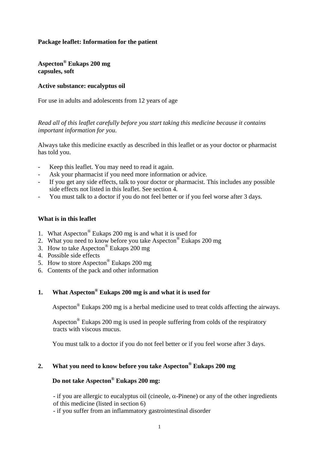### **Package leaflet: Information for the patient**

**Aspecton® Eukaps 200 mg capsules, soft** 

#### **Active substance: eucalyptus oil**

For use in adults and adolescents from 12 years of age

*Read all of this leaflet carefully before you start taking this medicine because it contains important information for you.* 

Always take this medicine exactly as described in this leaflet or as your doctor or pharmacist has told you.

- Keep this leaflet. You may need to read it again.
- Ask your pharmacist if you need more information or advice.
- If you get any side effects, talk to your doctor or pharmacist. This includes any possible side effects not listed in this leaflet. See section 4.
- You must talk to a doctor if you do not feel better or if you feel worse after 3 days.

#### **What is in this leaflet**

- 1. What Aspecton® Eukaps 200 mg is and what it is used for
- 2. What you need to know before you take Aspecton® Eukaps 200 mg
- 3. How to take Aspecton® Eukaps 200 mg
- 4. Possible side effects
- 5. How to store Aspecton® Eukaps 200 mg
- 6. Contents of the pack and other information

### **1. What Aspecton® Eukaps 200 mg is and what it is used for**

Aspecton® Eukaps 200 mg is a herbal medicine used to treat colds affecting the airways.

 Aspecton® Eukaps 200 mg is used in people suffering from colds of the respiratory tracts with viscous mucus.

You must talk to a doctor if you do not feel better or if you feel worse after 3 days.

### **2. What you need to know before you take Aspecton® Eukaps 200 mg**

## **Do not take Aspecton® Eukaps 200 mg:**

- if you are allergic to eucalyptus oil (cineole,  $\alpha$ -Pinene) or any of the other ingredients of this medicine (listed in section 6)

- if you suffer from an inflammatory gastrointestinal disorder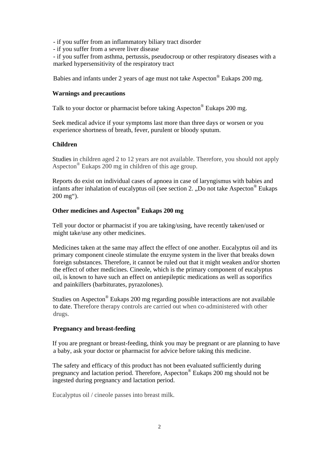- if you suffer from an inflammatory biliary tract disorder

- if you suffer from a severe liver disease

- if you suffer from asthma, pertussis, pseudocroup or other respiratory diseases with a marked hypersensitivity of the respiratory tract

Babies and infants under 2 years of age must not take Aspecton® Eukaps 200 mg.

#### **Warnings and precautions**

Talk to your doctor or pharmacist before taking Aspecton<sup>®</sup> Eukaps 200 mg.

 Seek medical advice if your symptoms last more than three days or worsen or you experience shortness of breath, fever, purulent or bloody sputum.

#### **Children**

 Studies in children aged 2 to 12 years are not available. Therefore, you should not apply Aspecton® Eukaps 200 mg in children of this age group.

 Reports do exist on individual cases of apnoea in case of laryngismus with babies and infants after inhalation of eucalyptus oil (see section 2. .Do not take Aspecton<sup>®</sup> Eukaps 200 mg").

#### **Other medicines and Aspecton® Eukaps 200 mg**

 Tell your doctor or pharmacist if you are taking/using, have recently taken/used or might take/use any other medicines.

 Medicines taken at the same may affect the effect of one another. Eucalyptus oil and its primary component cineole stimulate the enzyme system in the liver that breaks down foreign substances. Therefore, it cannot be ruled out that it might weaken and/or shorten the effect of other medicines. Cineole, which is the primary component of eucalyptus oil, is known to have such an effect on antiepileptic medications as well as soporifics and painkillers (barbiturates, pyrazolones).

 Studies on Aspecton® Eukaps 200 mg regarding possible interactions are not available to date. Therefore therapy controls are carried out when co-administered with other drugs.

#### **Pregnancy and breast-feeding**

 If you are pregnant or breast-feeding, think you may be pregnant or are planning to have a baby, ask your doctor or pharmacist for advice before taking this medicine.

 The safety and efficacy of this product has not been evaluated sufficiently during pregnancy and lactation period. Therefore, Aspecton® Eukaps 200 mg should not be ingested during pregnancy and lactation period.

Eucalyptus oil / cineole passes into breast milk.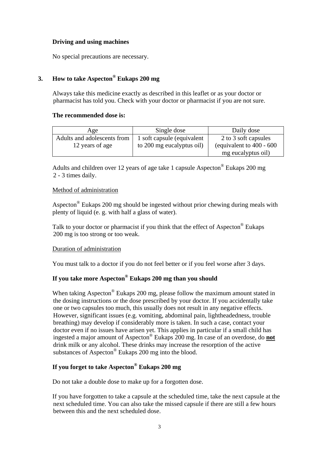### **Driving and using machines**

No special precautions are necessary.

## **3. How to take Aspecton® Eukaps 200 mg**

 Always take this medicine exactly as described in this leaflet or as your doctor or pharmacist has told you. Check with your doctor or pharmacist if you are not sure.

#### **The recommended dose is:**

| Age                         | Single dose                 | Daily dose                   |
|-----------------------------|-----------------------------|------------------------------|
| Adults and adolescents from | 1 soft capsule (equivalent) | 2 to 3 soft capsules         |
| 12 years of age             | to 200 mg eucalyptus oil)   | (equivalent to $400 - 600$ ) |
|                             |                             | mg eucalyptus oil)           |

 Adults and children over 12 years of age take 1 capsule Aspecton® Eukaps 200 mg 2 - 3 times daily.

### Method of administration

 Aspecton® Eukaps 200 mg should be ingested without prior chewing during meals with plenty of liquid (e. g. with half a glass of water).

Talk to your doctor or pharmacist if you think that the effect of Aspecton<sup>®</sup> Eukans 200 mg is too strong or too weak.

### Duration of administration

You must talk to a doctor if you do not feel better or if you feel worse after 3 days.

### **If you take more Aspecton® Eukaps 200 mg than you should**

When taking Aspecton<sup>®</sup> Eukaps 200 mg, please follow the maximum amount stated in the dosing instructions or the dose prescribed by your doctor. If you accidentally take one or two capsules too much, this usually does not result in any negative effects. However, significant issues (e.g. vomiting, abdominal pain, lightheadedness, trouble breathing) may develop if considerably more is taken. In such a case, contact your doctor even if no issues have arisen yet. This applies in particular if a small child has ingested a major amount of Aspecton® Eukaps 200 mg. In case of an overdose, do **not** drink milk or any alcohol. These drinks may increase the resorption of the active substances of Aspecton® Eukaps 200 mg into the blood.

## **If you forget to take Aspecton® Eukaps 200 mg**

Do not take a double dose to make up for a forgotten dose.

 If you have forgotten to take a capsule at the scheduled time, take the next capsule at the next scheduled time. You can also take the missed capsule if there are still a few hours between this and the next scheduled dose.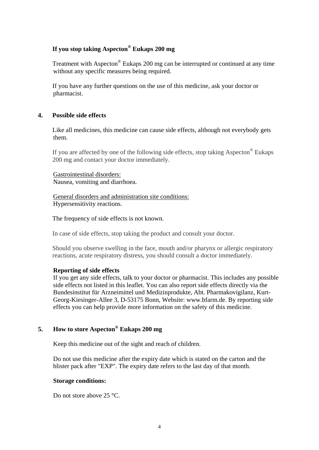### **If you stop taking Aspecton® Eukaps 200 mg**

 Treatment with Aspecton® Eukaps 200 mg can be interrupted or continued at any time without any specific measures being required.

 If you have any further questions on the use of this medicine, ask your doctor or pharmacist.

#### **4. Possible side effects**

 Like all medicines, this medicine can cause side effects, although not everybody gets them.

If you are affected by one of the following side effects, stop taking Aspecton® Eukaps 200 mg and contact your doctor immediately.

Gastrointestinal disorders: Nausea, vomiting and diarrhoea.

General disorders and administration site conditions: Hypersensitivity reactions.

The frequency of side effects is not known.

In case of side effects, stop taking the product and consult your doctor.

Should you observe swelling in the face, mouth and/or pharynx or allergic respiratory reactions, acute respiratory distress, you should consult a doctor immediately.

#### **Reporting of side effects**

If you get any side effects, talk to your doctor or pharmacist. This includes any possible side effects not listed in this leaflet. You can also report side effects directly via the Bundesinstitut für Arzneimittel und Medizinprodukte, Abt. Pharmakovigilanz, Kurt-Georg-Kiesinger-Allee 3, D-53175 Bonn, Website: www.bfarm.de. By reporting side effects you can help provide more information on the safety of this medicine.

## **5. How to store Aspecton® Eukaps 200 mg**

Keep this medicine out of the sight and reach of children.

Do not use this medicine after the expiry date which is stated on the carton and the blister pack after "EXP". The expiry date refers to the last day of that month.

#### **Storage conditions:**

Do not store above 25 °C.